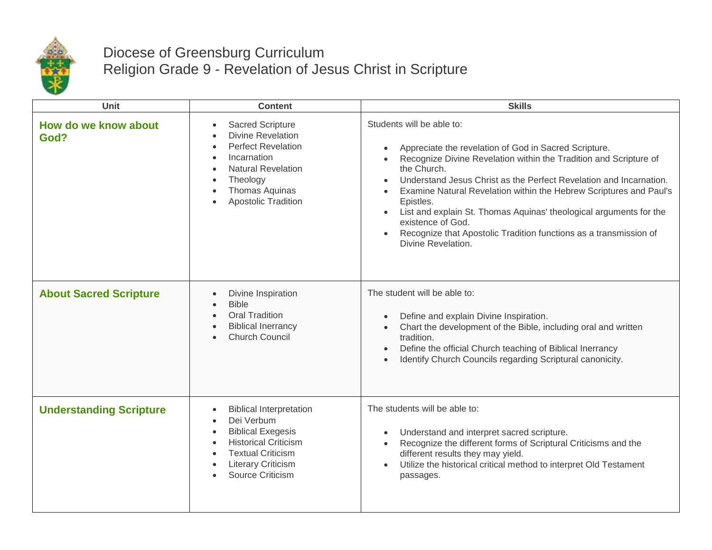

## Diocese of Greensburg Curriculum Religion Grade 9 - Revelation of Jesus Christ in Scripture

| <b>Unit</b>                    | <b>Content</b>                                                                                                                                                                                                                                                  | <b>Skills</b>                                                                                                                                                                                                                                                                                                                                                                                                                                                                                                                                   |
|--------------------------------|-----------------------------------------------------------------------------------------------------------------------------------------------------------------------------------------------------------------------------------------------------------------|-------------------------------------------------------------------------------------------------------------------------------------------------------------------------------------------------------------------------------------------------------------------------------------------------------------------------------------------------------------------------------------------------------------------------------------------------------------------------------------------------------------------------------------------------|
| How do we know about<br>God?   | Sacred Scripture<br>$\bullet$<br><b>Divine Revelation</b><br>$\bullet$<br><b>Perfect Revelation</b><br>$\bullet$<br>Incarnation<br>$\bullet$<br><b>Natural Revelation</b><br>$\bullet$<br>Theology<br>$\bullet$<br>Thomas Aquinas<br><b>Apostolic Tradition</b> | Students will be able to:<br>Appreciate the revelation of God in Sacred Scripture.<br>$\bullet$<br>Recognize Divine Revelation within the Tradition and Scripture of<br>the Church.<br>Understand Jesus Christ as the Perfect Revelation and Incarnation.<br>Examine Natural Revelation within the Hebrew Scriptures and Paul's<br>Epistles.<br>List and explain St. Thomas Aquinas' theological arguments for the<br>$\bullet$<br>existence of God.<br>Recognize that Apostolic Tradition functions as a transmission of<br>Divine Revelation. |
| <b>About Sacred Scripture</b>  | Divine Inspiration<br>$\bullet$<br><b>Bible</b><br><b>Oral Tradition</b><br>$\bullet$<br><b>Biblical Inerrancy</b><br><b>Church Council</b>                                                                                                                     | The student will be able to:<br>Define and explain Divine Inspiration.<br>Chart the development of the Bible, including oral and written<br>$\bullet$<br>tradition.<br>Define the official Church teaching of Biblical Inerrancy<br>$\bullet$<br>Identify Church Councils regarding Scriptural canonicity.                                                                                                                                                                                                                                      |
| <b>Understanding Scripture</b> | <b>Biblical Interpretation</b><br>$\bullet$<br>Dei Verbum<br>$\bullet$<br><b>Biblical Exegesis</b><br>$\bullet$<br><b>Historical Criticism</b><br><b>Textual Criticism</b><br>$\bullet$<br><b>Literary Criticism</b><br>Source Criticism                        | The students will be able to:<br>Understand and interpret sacred scripture.<br>$\bullet$<br>Recognize the different forms of Scriptural Criticisms and the<br>$\bullet$<br>different results they may yield.<br>Utilize the historical critical method to interpret Old Testament<br>passages.                                                                                                                                                                                                                                                  |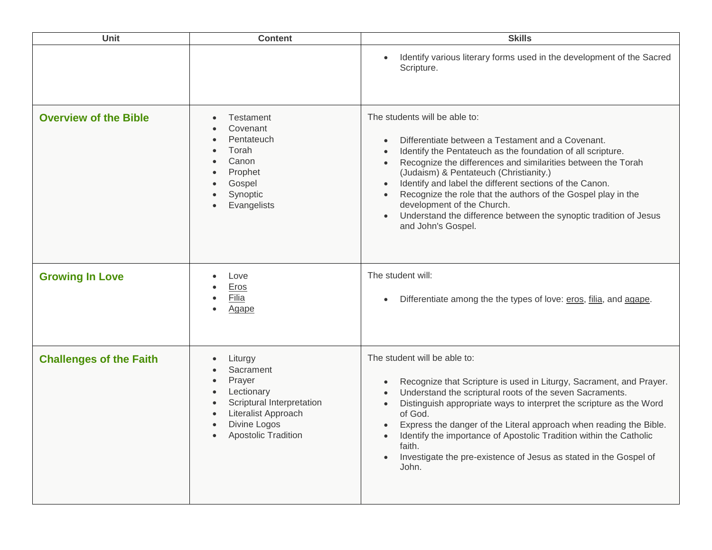| <b>Unit</b>                    | <b>Content</b>                                                                                                                                                           | <b>Skills</b>                                                                                                                                                                                                                                                                                                                                                                                                                                                                                                    |
|--------------------------------|--------------------------------------------------------------------------------------------------------------------------------------------------------------------------|------------------------------------------------------------------------------------------------------------------------------------------------------------------------------------------------------------------------------------------------------------------------------------------------------------------------------------------------------------------------------------------------------------------------------------------------------------------------------------------------------------------|
|                                |                                                                                                                                                                          | Identify various literary forms used in the development of the Sacred<br>Scripture.                                                                                                                                                                                                                                                                                                                                                                                                                              |
| <b>Overview of the Bible</b>   | Testament<br>Covenant<br>Pentateuch<br>Torah<br>Canon<br>Prophet<br>Gospel<br>Synoptic<br>Evangelists<br>$\bullet$                                                       | The students will be able to:<br>Differentiate between a Testament and a Covenant.<br>Identify the Pentateuch as the foundation of all scripture.<br>Recognize the differences and similarities between the Torah<br>(Judaism) & Pentateuch (Christianity.)<br>Identify and label the different sections of the Canon.<br>Recognize the role that the authors of the Gospel play in the<br>development of the Church.<br>Understand the difference between the synoptic tradition of Jesus<br>and John's Gospel. |
| <b>Growing In Love</b>         | Love<br><b>Eros</b><br>Filia<br>$\bullet$<br><b>Agape</b><br>$\bullet$                                                                                                   | The student will:<br>Differentiate among the the types of love: eros, filia, and agape.                                                                                                                                                                                                                                                                                                                                                                                                                          |
| <b>Challenges of the Faith</b> | Liturgy<br>$\bullet$<br>Sacrament<br>Prayer<br>$\bullet$<br>Lectionary<br>Scriptural Interpretation<br>Literalist Approach<br>Divine Logos<br><b>Apostolic Tradition</b> | The student will be able to:<br>Recognize that Scripture is used in Liturgy, Sacrament, and Prayer.<br>Understand the scriptural roots of the seven Sacraments.<br>Distinguish appropriate ways to interpret the scripture as the Word<br>of God.<br>Express the danger of the Literal approach when reading the Bible.<br>Identify the importance of Apostolic Tradition within the Catholic<br>faith.<br>Investigate the pre-existence of Jesus as stated in the Gospel of<br>John.                            |